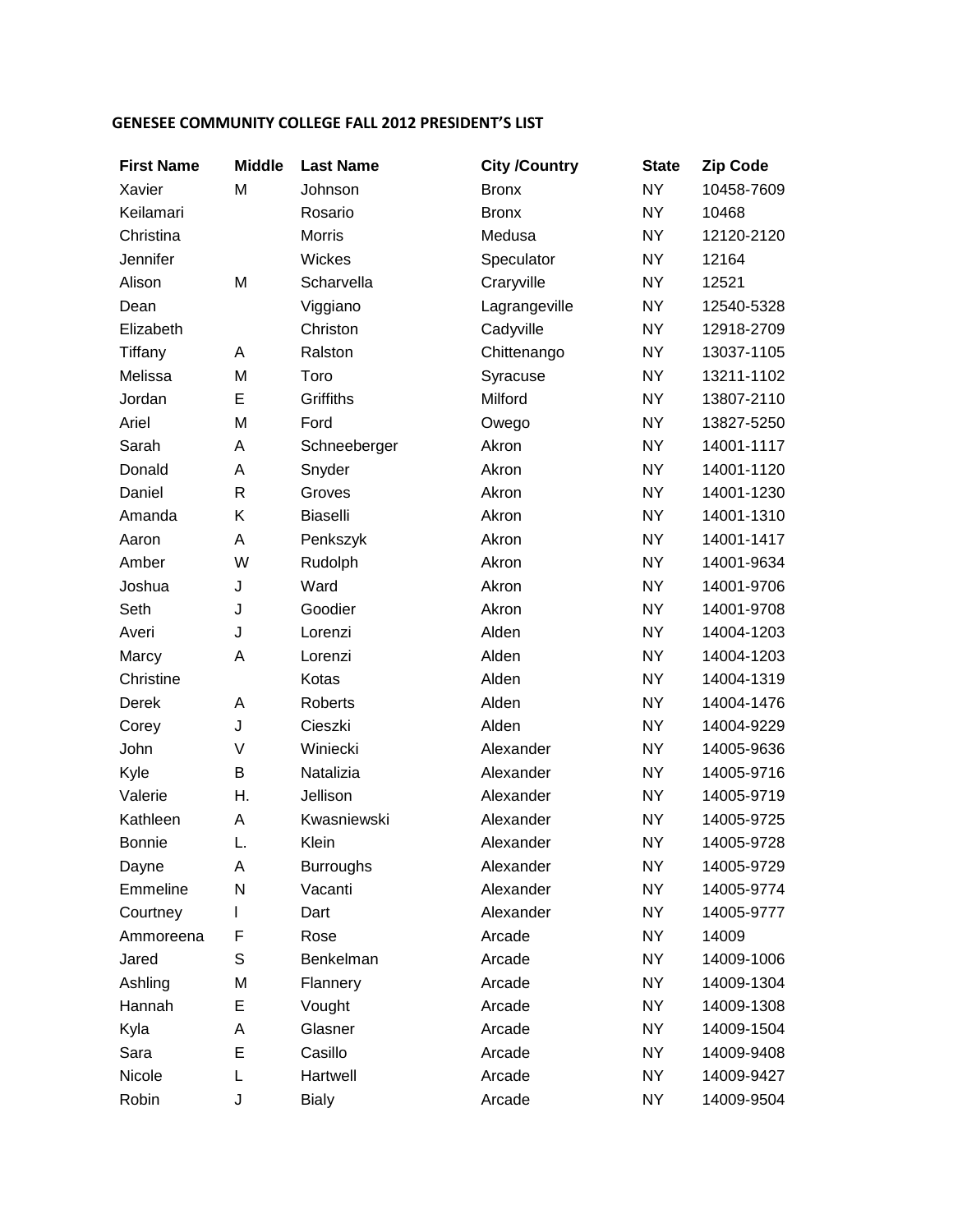## **GENESEE COMMUNITY COLLEGE FALL 2012 PRESIDENT'S LIST**

| <b>First Name</b> | <b>Middle</b> | <b>Last Name</b> | <b>City /Country</b> | <b>State</b> | <b>Zip Code</b> |
|-------------------|---------------|------------------|----------------------|--------------|-----------------|
| Xavier            | M             | Johnson          | <b>Bronx</b>         | <b>NY</b>    | 10458-7609      |
| Keilamari         |               | Rosario          | <b>Bronx</b>         | <b>NY</b>    | 10468           |
| Christina         |               | <b>Morris</b>    | Medusa               | <b>NY</b>    | 12120-2120      |
| Jennifer          |               | Wickes           | Speculator           | <b>NY</b>    | 12164           |
| Alison            | M             | Scharvella       | Craryville           | <b>NY</b>    | 12521           |
| Dean              |               | Viggiano         | Lagrangeville        | <b>NY</b>    | 12540-5328      |
| Elizabeth         |               | Christon         | Cadyville            | <b>NY</b>    | 12918-2709      |
| Tiffany           | Α             | Ralston          | Chittenango          | <b>NY</b>    | 13037-1105      |
| Melissa           | M             | Toro             | Syracuse             | <b>NY</b>    | 13211-1102      |
| Jordan            | E             | Griffiths        | Milford              | <b>NY</b>    | 13807-2110      |
| Ariel             | M             | Ford             | Owego                | <b>NY</b>    | 13827-5250      |
| Sarah             | Α             | Schneeberger     | Akron                | <b>NY</b>    | 14001-1117      |
| Donald            | A             | Snyder           | Akron                | <b>NY</b>    | 14001-1120      |
| Daniel            | R             | Groves           | Akron                | <b>NY</b>    | 14001-1230      |
| Amanda            | Κ             | <b>Biaselli</b>  | Akron                | <b>NY</b>    | 14001-1310      |
| Aaron             | A             | Penkszyk         | Akron                | <b>NY</b>    | 14001-1417      |
| Amber             | W             | Rudolph          | Akron                | <b>NY</b>    | 14001-9634      |
| Joshua            | J             | Ward             | Akron                | <b>NY</b>    | 14001-9706      |
| Seth              | J             | Goodier          | Akron                | <b>NY</b>    | 14001-9708      |
| Averi             | J             | Lorenzi          | Alden                | <b>NY</b>    | 14004-1203      |
| Marcy             | A             | Lorenzi          | Alden                | <b>NY</b>    | 14004-1203      |
| Christine         |               | Kotas            | Alden                | <b>NY</b>    | 14004-1319      |
| Derek             | Α             | Roberts          | Alden                | <b>NY</b>    | 14004-1476      |
| Corey             | J             | Cieszki          | Alden                | <b>NY</b>    | 14004-9229      |
| John              | V             | Winiecki         | Alexander            | <b>NY</b>    | 14005-9636      |
| Kyle              | B             | Natalizia        | Alexander            | <b>NY</b>    | 14005-9716      |
| Valerie           | Η.            | Jellison         | Alexander            | <b>NY</b>    | 14005-9719      |
| Kathleen          | Α             | Kwasniewski      | Alexander            | <b>NY</b>    | 14005-9725      |
| <b>Bonnie</b>     | L.            | Klein            | Alexander            | <b>NY</b>    | 14005-9728      |
| Dayne             | A             | <b>Burroughs</b> | Alexander            | <b>NY</b>    | 14005-9729      |
| Emmeline          | N             | Vacanti          | Alexander            | <b>NY</b>    | 14005-9774      |
| Courtney          | L             | Dart             | Alexander            | <b>NY</b>    | 14005-9777      |
| Ammoreena         | F             | Rose             | Arcade               | <b>NY</b>    | 14009           |
| Jared             | S             | Benkelman        | Arcade               | <b>NY</b>    | 14009-1006      |
| Ashling           | M             | Flannery         | Arcade               | <b>NY</b>    | 14009-1304      |
| Hannah            | Е             | Vought           | Arcade               | <b>NY</b>    | 14009-1308      |
| Kyla              | A             | Glasner          | Arcade               | <b>NY</b>    | 14009-1504      |
| Sara              | Е             | Casillo          | Arcade               | <b>NY</b>    | 14009-9408      |
| Nicole            | L             | Hartwell         | Arcade               | <b>NY</b>    | 14009-9427      |
| Robin             | J             | <b>Bialy</b>     | Arcade               | <b>NY</b>    | 14009-9504      |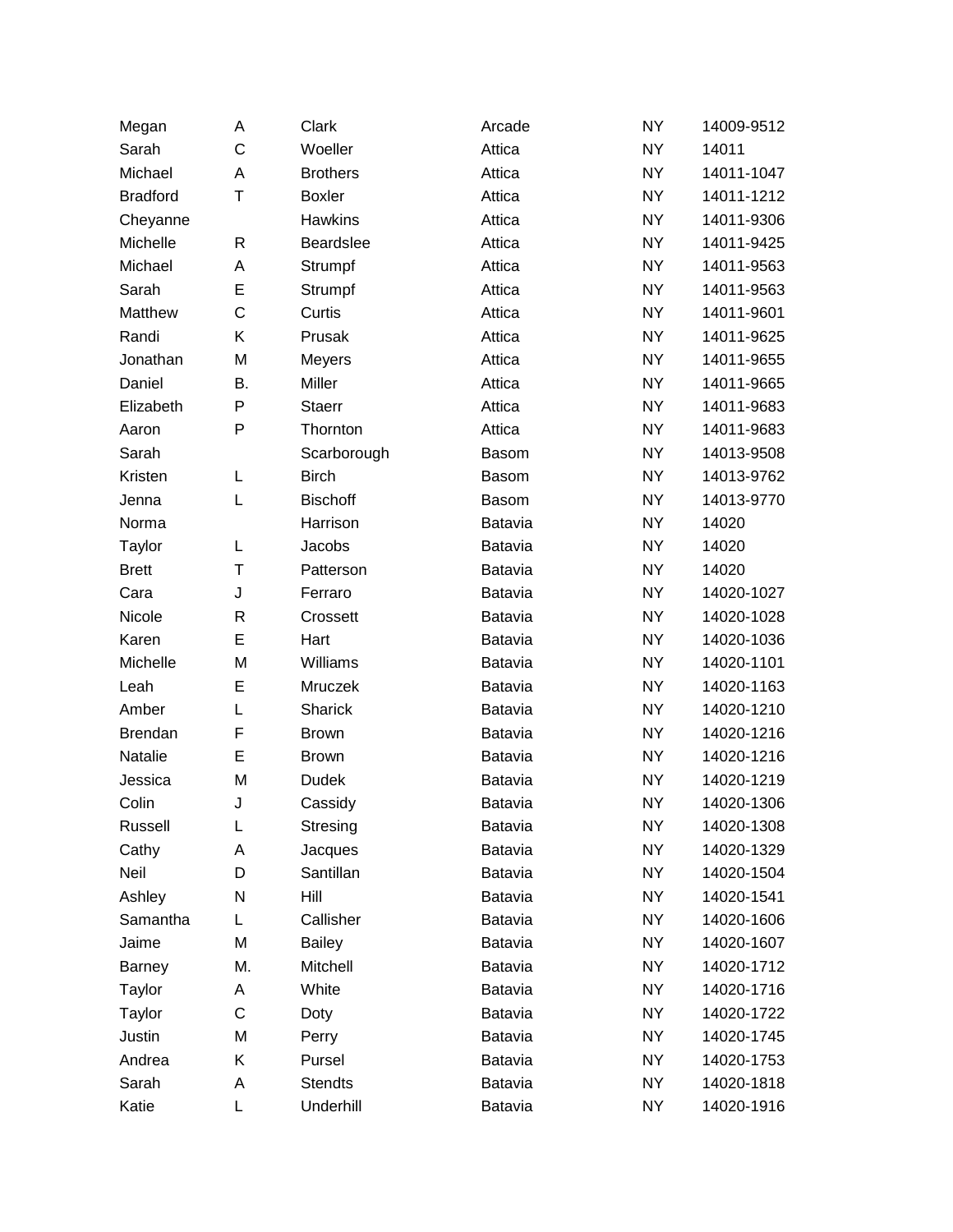| Megan           | A            | Clark           | Arcade       | <b>NY</b> | 14009-9512 |
|-----------------|--------------|-----------------|--------------|-----------|------------|
| Sarah           | C            | Woeller         | Attica       | <b>NY</b> | 14011      |
| Michael         | A            | <b>Brothers</b> | Attica       | <b>NY</b> | 14011-1047 |
| <b>Bradford</b> | T            | <b>Boxler</b>   | Attica       | <b>NY</b> | 14011-1212 |
| Cheyanne        |              | <b>Hawkins</b>  | Attica       | <b>NY</b> | 14011-9306 |
| Michelle        | R            | Beardslee       | Attica       | <b>NY</b> | 14011-9425 |
| Michael         | Α            | Strumpf         | Attica       | <b>NY</b> | 14011-9563 |
| Sarah           | E            | Strumpf         | Attica       | <b>NY</b> | 14011-9563 |
| Matthew         | C            | Curtis          | Attica       | <b>NY</b> | 14011-9601 |
| Randi           | Κ            | Prusak          | Attica       | <b>NY</b> | 14011-9625 |
| Jonathan        | M            | Meyers          | Attica       | <b>NY</b> | 14011-9655 |
| Daniel          | Β.           | Miller          | Attica       | <b>NY</b> | 14011-9665 |
| Elizabeth       | P            | <b>Staerr</b>   | Attica       | <b>NY</b> | 14011-9683 |
| Aaron           | P            | Thornton        | Attica       | <b>NY</b> | 14011-9683 |
| Sarah           |              | Scarborough     | <b>Basom</b> | <b>NY</b> | 14013-9508 |
| Kristen         | L            | <b>Birch</b>    | <b>Basom</b> | <b>NY</b> | 14013-9762 |
| Jenna           | L            | <b>Bischoff</b> | <b>Basom</b> | <b>NY</b> | 14013-9770 |
| Norma           |              | Harrison        | Batavia      | <b>NY</b> | 14020      |
| Taylor          | L            | Jacobs          | Batavia      | <b>NY</b> | 14020      |
| <b>Brett</b>    | T            | Patterson       | Batavia      | <b>NY</b> | 14020      |
| Cara            | J            | Ferraro         | Batavia      | <b>NY</b> | 14020-1027 |
| Nicole          | $\mathsf{R}$ | Crossett        | Batavia      | <b>NY</b> | 14020-1028 |
| Karen           | E            | Hart            | Batavia      | <b>NY</b> | 14020-1036 |
| Michelle        | M            | Williams        | Batavia      | <b>NY</b> | 14020-1101 |
| Leah            | E            | Mruczek         | Batavia      | <b>NY</b> | 14020-1163 |
| Amber           | L            | Sharick         | Batavia      | <b>NY</b> | 14020-1210 |
| Brendan         | F            | <b>Brown</b>    | Batavia      | <b>NY</b> | 14020-1216 |
| Natalie         | E            | <b>Brown</b>    | Batavia      | <b>NY</b> | 14020-1216 |
| Jessica         | M            | Dudek           | Batavia      | <b>NY</b> | 14020-1219 |
| Colin           | J            | Cassidy         | Batavia      | <b>NY</b> | 14020-1306 |
| Russell         | Г            | Stresing        | Batavia      | <b>NY</b> | 14020-1308 |
| Cathy           | Α            | Jacques         | Batavia      | <b>NY</b> | 14020-1329 |
| Neil            | D            | Santillan       | Batavia      | <b>NY</b> | 14020-1504 |
| Ashley          | N            | Hill            | Batavia      | <b>NY</b> | 14020-1541 |
| Samantha        | L            | Callisher       | Batavia      | <b>NY</b> | 14020-1606 |
| Jaime           | M            | <b>Bailey</b>   | Batavia      | <b>NY</b> | 14020-1607 |
| <b>Barney</b>   | М.           | Mitchell        | Batavia      | <b>NY</b> | 14020-1712 |
| Taylor          | Α            | White           | Batavia      | <b>NY</b> | 14020-1716 |
| Taylor          | C            | Doty            | Batavia      | <b>NY</b> | 14020-1722 |
| Justin          | M            | Perry           | Batavia      | <b>NY</b> | 14020-1745 |
| Andrea          | Κ            | Pursel          | Batavia      | <b>NY</b> | 14020-1753 |
| Sarah           | Α            | <b>Stendts</b>  | Batavia      | <b>NY</b> | 14020-1818 |
| Katie           | L            | Underhill       | Batavia      | <b>NY</b> | 14020-1916 |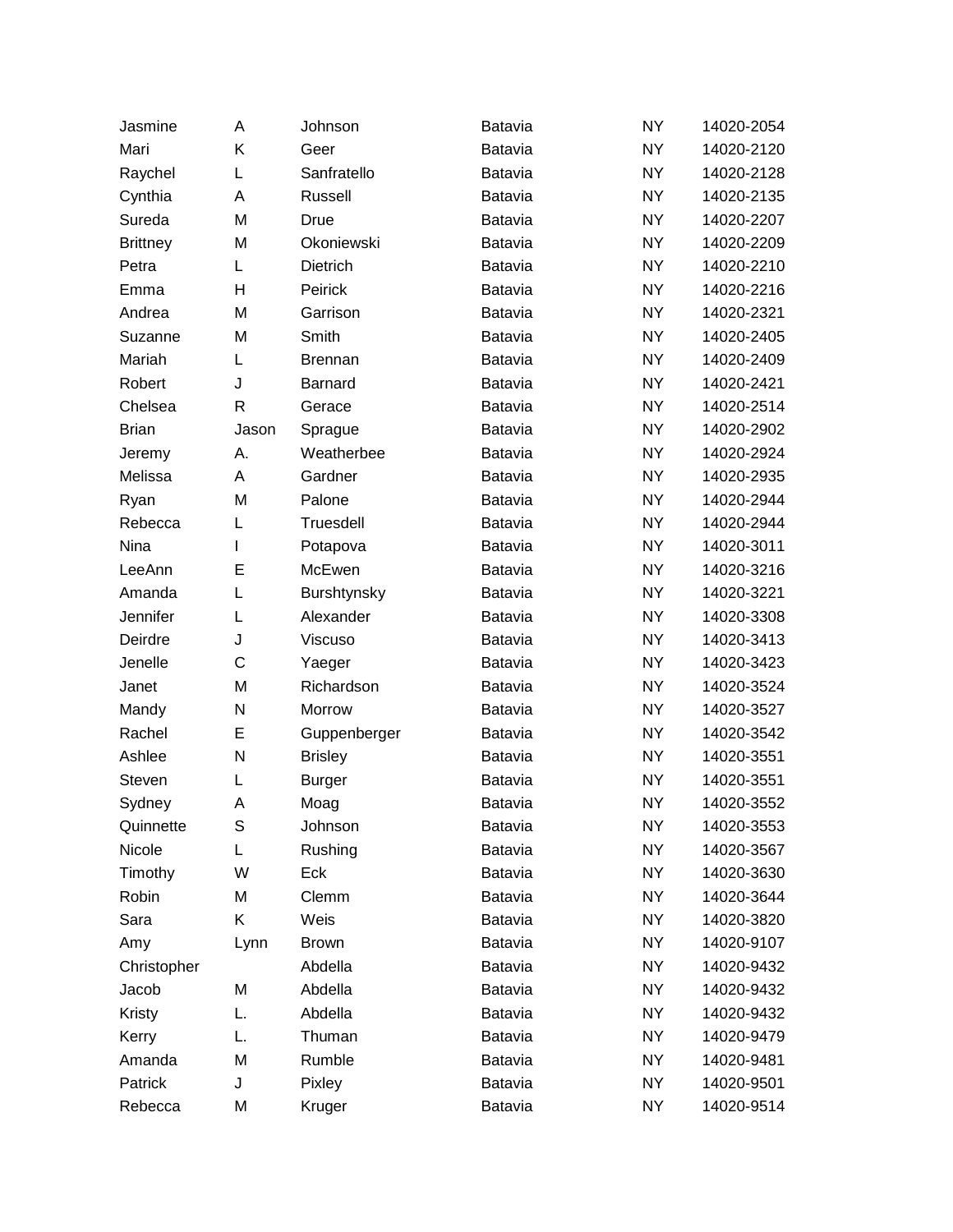| Jasmine         | A            | Johnson        | Batavia        | <b>NY</b> | 14020-2054 |
|-----------------|--------------|----------------|----------------|-----------|------------|
| Mari            | K            | Geer           | Batavia        | <b>NY</b> | 14020-2120 |
| Raychel         | Г            | Sanfratello    | <b>Batavia</b> | <b>NY</b> | 14020-2128 |
| Cynthia         | Α            | Russell        | Batavia        | <b>NY</b> | 14020-2135 |
| Sureda          | M            | Drue           | <b>Batavia</b> | <b>NY</b> | 14020-2207 |
| <b>Brittney</b> | M            | Okoniewski     | Batavia        | <b>NY</b> | 14020-2209 |
| Petra           | Г            | Dietrich       | <b>Batavia</b> | <b>NY</b> | 14020-2210 |
| Emma            | Н            | Peirick        | Batavia        | <b>NY</b> | 14020-2216 |
| Andrea          | M            | Garrison       | <b>Batavia</b> | <b>NY</b> | 14020-2321 |
| Suzanne         | M            | Smith          | Batavia        | <b>NY</b> | 14020-2405 |
| Mariah          | L            | <b>Brennan</b> | <b>Batavia</b> | <b>NY</b> | 14020-2409 |
| Robert          | J            | Barnard        | Batavia        | <b>NY</b> | 14020-2421 |
| Chelsea         | $\mathsf{R}$ | Gerace         | <b>Batavia</b> | <b>NY</b> | 14020-2514 |
| <b>Brian</b>    | Jason        | Sprague        | Batavia        | <b>NY</b> | 14020-2902 |
| Jeremy          | А.           | Weatherbee     | <b>Batavia</b> | <b>NY</b> | 14020-2924 |
| Melissa         | A            | Gardner        | Batavia        | <b>NY</b> | 14020-2935 |
| Ryan            | M            | Palone         | <b>Batavia</b> | <b>NY</b> | 14020-2944 |
| Rebecca         | L            | Truesdell      | Batavia        | <b>NY</b> | 14020-2944 |
| Nina            | L            | Potapova       | <b>Batavia</b> | <b>NY</b> | 14020-3011 |
| LeeAnn          | E            | McEwen         | Batavia        | <b>NY</b> | 14020-3216 |
| Amanda          | L            | Burshtynsky    | <b>Batavia</b> | <b>NY</b> | 14020-3221 |
| Jennifer        | L            | Alexander      | Batavia        | <b>NY</b> | 14020-3308 |
| Deirdre         | J            | Viscuso        | <b>Batavia</b> | <b>NY</b> | 14020-3413 |
| Jenelle         | C            | Yaeger         | Batavia        | <b>NY</b> | 14020-3423 |
| Janet           | M            | Richardson     | <b>Batavia</b> | <b>NY</b> | 14020-3524 |
| Mandy           | N            | Morrow         | <b>Batavia</b> | <b>NY</b> | 14020-3527 |
| Rachel          | E            | Guppenberger   | Batavia        | <b>NY</b> | 14020-3542 |
| Ashlee          | N            | <b>Brisley</b> | Batavia        | <b>NY</b> | 14020-3551 |
| Steven          | L            | <b>Burger</b>  | Batavia        | <b>NY</b> | 14020-3551 |
| Sydney          | Α            | Moag           | Batavia        | <b>NY</b> | 14020-3552 |
| Quinnette       | S            | Johnson        | Batavia        | <b>NY</b> | 14020-3553 |
| Nicole          | L            | Rushing        | Batavia        | <b>NY</b> | 14020-3567 |
| Timothy         | W            | Eck            | Batavia        | <b>NY</b> | 14020-3630 |
| Robin           | M            | Clemm          | Batavia        | <b>NY</b> | 14020-3644 |
| Sara            | Κ            | Weis           | Batavia        | NY.       | 14020-3820 |
| Amy             | Lynn         | <b>Brown</b>   | Batavia        | <b>NY</b> | 14020-9107 |
| Christopher     |              | Abdella        | Batavia        | <b>NY</b> | 14020-9432 |
| Jacob           | M            | Abdella        | Batavia        | <b>NY</b> | 14020-9432 |
| Kristy          | L.           | Abdella        | Batavia        | NY.       | 14020-9432 |
| Kerry           | L.           | Thuman         | Batavia        | <b>NY</b> | 14020-9479 |
| Amanda          | M            | Rumble         | Batavia        | NY.       | 14020-9481 |
| Patrick         | J            | Pixley         | Batavia        | <b>NY</b> | 14020-9501 |
| Rebecca         | M            | Kruger         | Batavia        | NY        | 14020-9514 |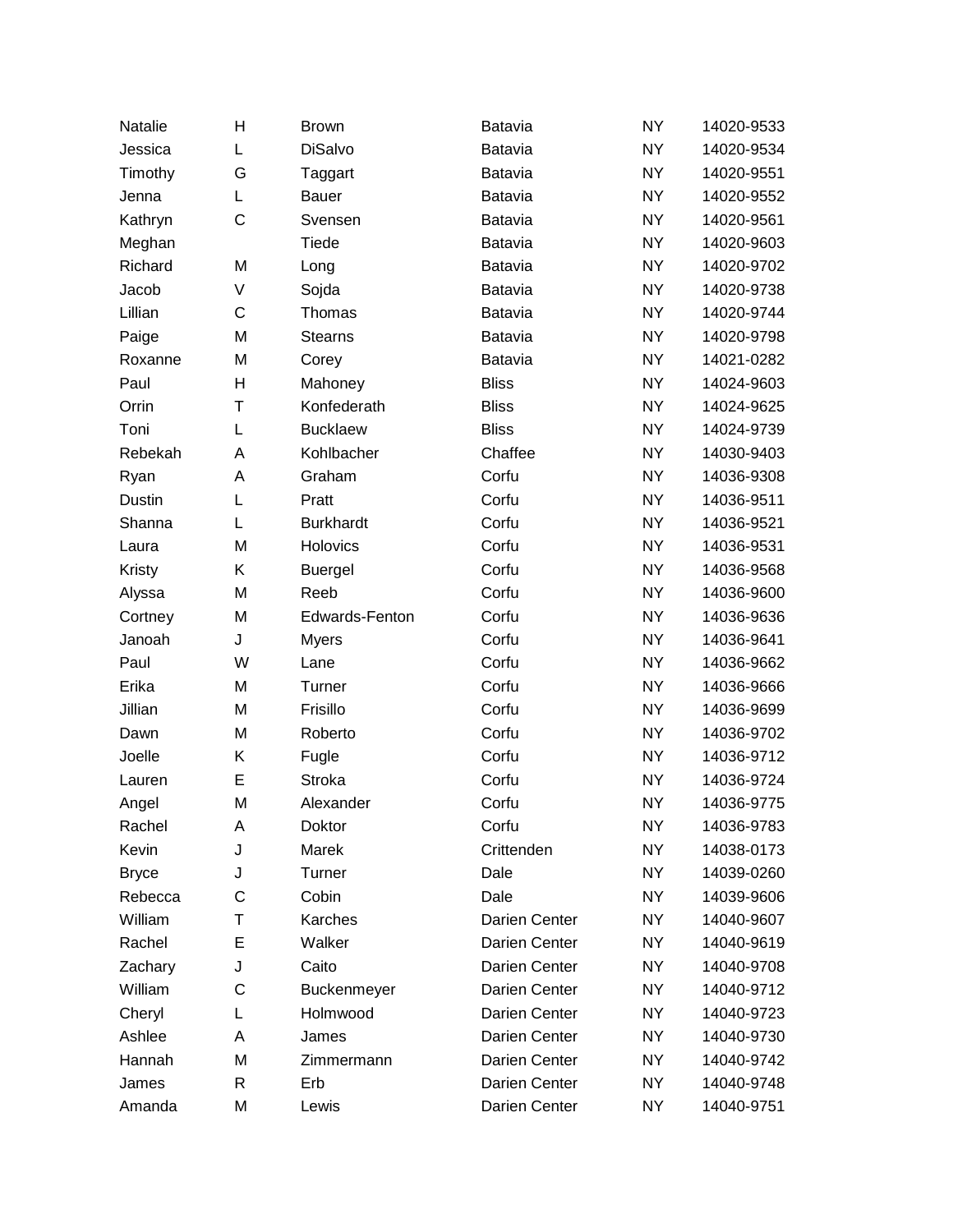| Natalie      | Н            | <b>Brown</b>     | Batavia       | <b>NY</b> | 14020-9533 |
|--------------|--------------|------------------|---------------|-----------|------------|
| Jessica      | L            | <b>DiSalvo</b>   | Batavia       | <b>NY</b> | 14020-9534 |
| Timothy      | G            | Taggart          | Batavia       | <b>NY</b> | 14020-9551 |
| Jenna        | L            | Bauer            | Batavia       | <b>NY</b> | 14020-9552 |
| Kathryn      | $\mathsf{C}$ | Svensen          | Batavia       | <b>NY</b> | 14020-9561 |
| Meghan       |              | Tiede            | Batavia       | <b>NY</b> | 14020-9603 |
| Richard      | M            | Long             | Batavia       | <b>NY</b> | 14020-9702 |
| Jacob        | V            | Sojda            | Batavia       | <b>NY</b> | 14020-9738 |
| Lillian      | C            | Thomas           | Batavia       | <b>NY</b> | 14020-9744 |
| Paige        | M            | <b>Stearns</b>   | Batavia       | <b>NY</b> | 14020-9798 |
| Roxanne      | M            | Corey            | Batavia       | <b>NY</b> | 14021-0282 |
| Paul         | H            | Mahoney          | <b>Bliss</b>  | <b>NY</b> | 14024-9603 |
| Orrin        | Τ            | Konfederath      | <b>Bliss</b>  | <b>NY</b> | 14024-9625 |
| Toni         | L            | <b>Bucklaew</b>  | <b>Bliss</b>  | <b>NY</b> | 14024-9739 |
| Rebekah      | A            | Kohlbacher       | Chaffee       | <b>NY</b> | 14030-9403 |
| Ryan         | A            | Graham           | Corfu         | <b>NY</b> | 14036-9308 |
| Dustin       | L            | Pratt            | Corfu         | <b>NY</b> | 14036-9511 |
| Shanna       | L            | <b>Burkhardt</b> | Corfu         | <b>NY</b> | 14036-9521 |
| Laura        | M            | Holovics         | Corfu         | <b>NY</b> | 14036-9531 |
| Kristy       | Κ            | <b>Buergel</b>   | Corfu         | <b>NY</b> | 14036-9568 |
| Alyssa       | M            | Reeb             | Corfu         | <b>NY</b> | 14036-9600 |
| Cortney      | M            | Edwards-Fenton   | Corfu         | <b>NY</b> | 14036-9636 |
| Janoah       | J            | <b>Myers</b>     | Corfu         | <b>NY</b> | 14036-9641 |
| Paul         | W            | Lane             | Corfu         | <b>NY</b> | 14036-9662 |
| Erika        | M            | Turner           | Corfu         | <b>NY</b> | 14036-9666 |
| Jillian      | M            | Frisillo         | Corfu         | <b>NY</b> | 14036-9699 |
| Dawn         | M            | Roberto          | Corfu         | <b>NY</b> | 14036-9702 |
| Joelle       | Κ            | Fugle            | Corfu         | <b>NY</b> | 14036-9712 |
| Lauren       | E            | Stroka           | Corfu         | <b>NY</b> | 14036-9724 |
| Angel        | M            | Alexander        | Corfu         | <b>NY</b> | 14036-9775 |
| Rachel       | Α            | Doktor           | Corfu         | <b>NY</b> | 14036-9783 |
| Kevin        | J            | Marek            | Crittenden    | <b>NY</b> | 14038-0173 |
| <b>Bryce</b> | J            | Turner           | Dale          | <b>NY</b> | 14039-0260 |
| Rebecca      | C            | Cobin            | Dale          | <b>NY</b> | 14039-9606 |
| William      | Τ            | Karches          | Darien Center | <b>NY</b> | 14040-9607 |
| Rachel       | E            | Walker           | Darien Center | <b>NY</b> | 14040-9619 |
| Zachary      | J            | Caito            | Darien Center | <b>NY</b> | 14040-9708 |
| William      | C            | Buckenmeyer      | Darien Center | <b>NY</b> | 14040-9712 |
| Cheryl       | L            | Holmwood         | Darien Center | <b>NY</b> | 14040-9723 |
| Ashlee       | A            | James            | Darien Center | <b>NY</b> | 14040-9730 |
| Hannah       | M            | Zimmermann       | Darien Center | NY        | 14040-9742 |
| James        | R            | Erb              | Darien Center | <b>NY</b> | 14040-9748 |
| Amanda       | M            | Lewis            | Darien Center | NY        | 14040-9751 |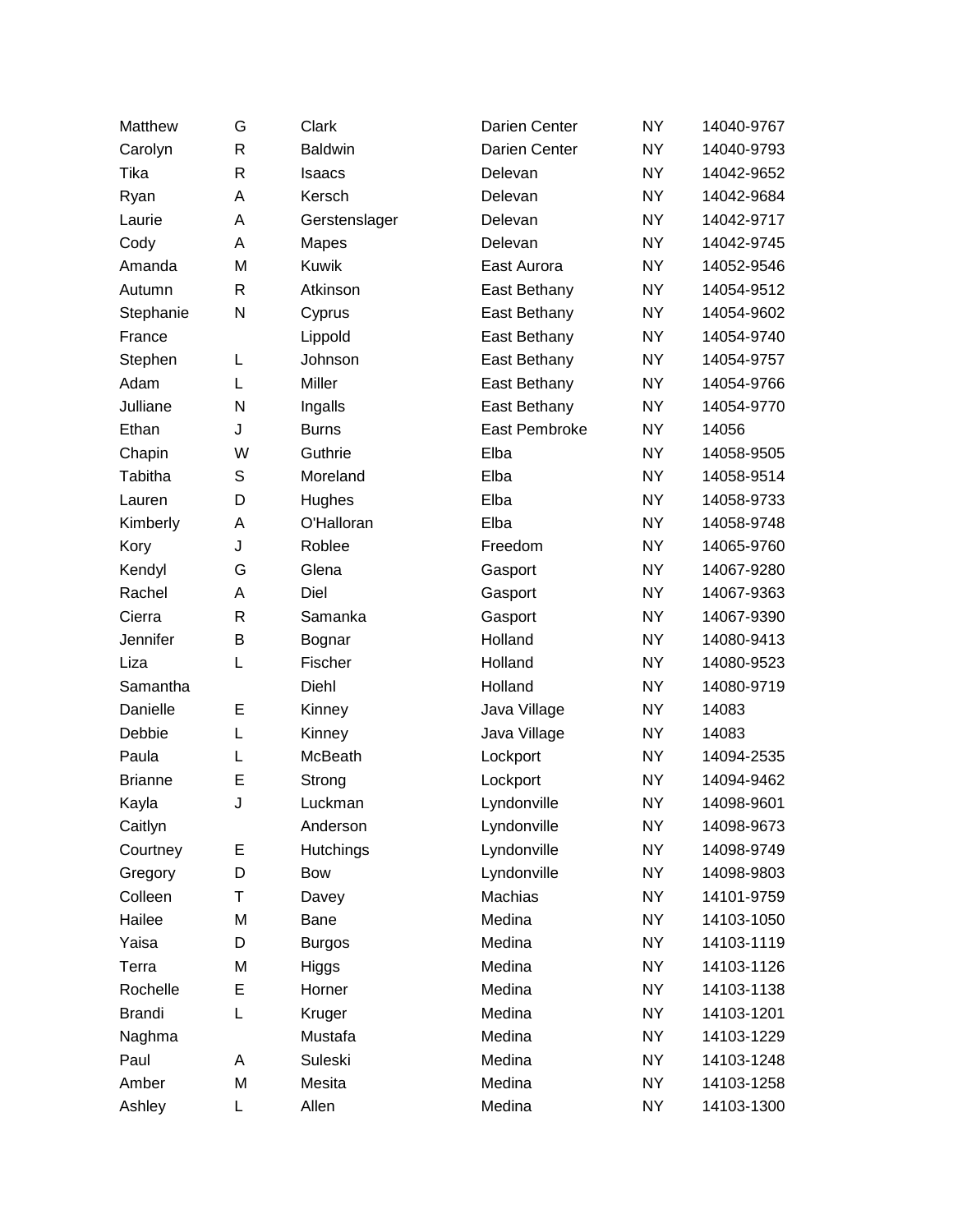| Matthew        | G            | Clark            | Darien Center | <b>NY</b> | 14040-9767 |
|----------------|--------------|------------------|---------------|-----------|------------|
| Carolyn        | $\mathsf{R}$ | <b>Baldwin</b>   | Darien Center | <b>NY</b> | 14040-9793 |
| Tika           | $\mathsf{R}$ | Isaacs           | Delevan       | <b>NY</b> | 14042-9652 |
| Ryan           | A            | Kersch           | Delevan       | <b>NY</b> | 14042-9684 |
| Laurie         | Α            | Gerstenslager    | Delevan       | <b>NY</b> | 14042-9717 |
| Cody           | Α            | Mapes            | Delevan       | <b>NY</b> | 14042-9745 |
| Amanda         | M            | Kuwik            | East Aurora   | <b>NY</b> | 14052-9546 |
| Autumn         | $\mathsf{R}$ | Atkinson         | East Bethany  | <b>NY</b> | 14054-9512 |
| Stephanie      | N            | Cyprus           | East Bethany  | <b>NY</b> | 14054-9602 |
| France         |              | Lippold          | East Bethany  | <b>NY</b> | 14054-9740 |
| Stephen        | L            | Johnson          | East Bethany  | <b>NY</b> | 14054-9757 |
| Adam           | L            | Miller           | East Bethany  | <b>NY</b> | 14054-9766 |
| Julliane       | N            | Ingalls          | East Bethany  | <b>NY</b> | 14054-9770 |
| Ethan          | J            | <b>Burns</b>     | East Pembroke | <b>NY</b> | 14056      |
| Chapin         | W            | Guthrie          | Elba          | <b>NY</b> | 14058-9505 |
| Tabitha        | $\mathbb S$  | Moreland         | Elba          | <b>NY</b> | 14058-9514 |
| Lauren         | D            | Hughes           | Elba          | <b>NY</b> | 14058-9733 |
| Kimberly       | Α            | O'Halloran       | Elba          | <b>NY</b> | 14058-9748 |
| Kory           | J            | Roblee           | Freedom       | <b>NY</b> | 14065-9760 |
| Kendyl         | G            | Glena            | Gasport       | <b>NY</b> | 14067-9280 |
| Rachel         | Α            | Diel             | Gasport       | <b>NY</b> | 14067-9363 |
| Cierra         | $\mathsf{R}$ | Samanka          | Gasport       | <b>NY</b> | 14067-9390 |
| Jennifer       | В            | Bognar           | Holland       | <b>NY</b> | 14080-9413 |
| Liza           | L            | Fischer          | Holland       | <b>NY</b> | 14080-9523 |
| Samantha       |              | Diehl            | Holland       | <b>NY</b> | 14080-9719 |
| Danielle       | E            | Kinney           | Java Village  | <b>NY</b> | 14083      |
| Debbie         | L            | Kinney           | Java Village  | <b>NY</b> | 14083      |
| Paula          | L            | McBeath          | Lockport      | <b>NY</b> | 14094-2535 |
| <b>Brianne</b> | E            | Strong           | Lockport      | <b>NY</b> | 14094-9462 |
| Kayla          | J            | Luckman          | Lyndonville   | <b>NY</b> | 14098-9601 |
| Caitlyn        |              | Anderson         | Lyndonville   | <b>NY</b> | 14098-9673 |
| Courtney       | Е            | <b>Hutchings</b> | Lyndonville   | <b>NY</b> | 14098-9749 |
| Gregory        | D            | Bow              | Lyndonville   | <b>NY</b> | 14098-9803 |
| Colleen        | Τ            | Davey            | Machias       | <b>NY</b> | 14101-9759 |
| Hailee         | M            | Bane             | Medina        | <b>NY</b> | 14103-1050 |
| Yaisa          | D            | <b>Burgos</b>    | Medina        | <b>NY</b> | 14103-1119 |
| Terra          | M            | Higgs            | Medina        | <b>NY</b> | 14103-1126 |
| Rochelle       | E            | Horner           | Medina        | <b>NY</b> | 14103-1138 |
| <b>Brandi</b>  | L            | Kruger           | Medina        | <b>NY</b> | 14103-1201 |
| Naghma         |              | Mustafa          | Medina        | <b>NY</b> | 14103-1229 |
| Paul           | A            | Suleski          | Medina        | <b>NY</b> | 14103-1248 |
| Amber          | M            | Mesita           | Medina        | <b>NY</b> | 14103-1258 |
| Ashley         | L            | Allen            | Medina        | <b>NY</b> | 14103-1300 |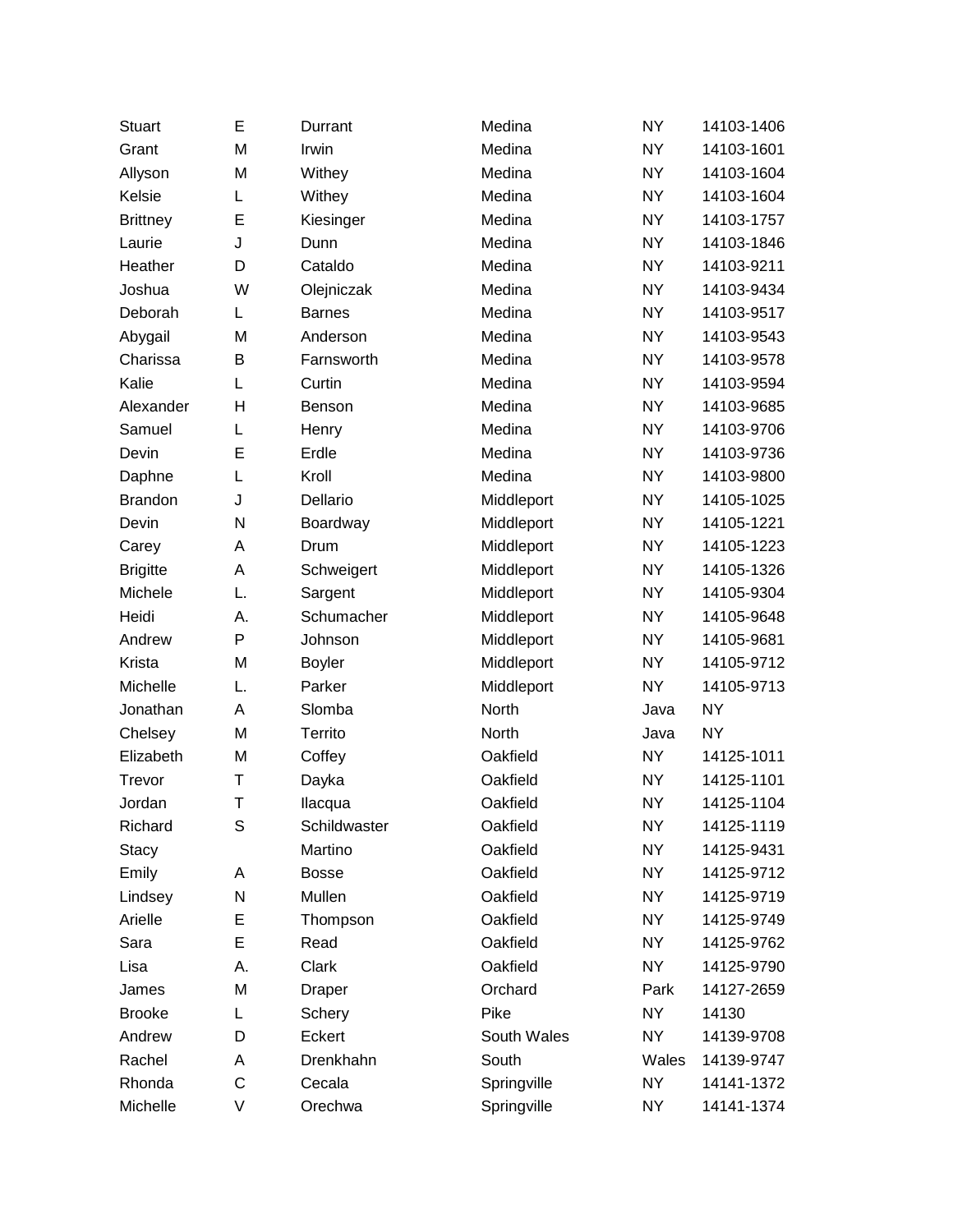| <b>Stuart</b>   | Е  | Durrant       | Medina      | <b>NY</b> | 14103-1406 |
|-----------------|----|---------------|-------------|-----------|------------|
| Grant           | M  | Irwin         | Medina      | <b>NY</b> | 14103-1601 |
| Allyson         | M  | Withey        | Medina      | <b>NY</b> | 14103-1604 |
| Kelsie          | L  | Withey        | Medina      | <b>NY</b> | 14103-1604 |
| <b>Brittney</b> | E  | Kiesinger     | Medina      | <b>NY</b> | 14103-1757 |
| Laurie          | J  | Dunn          | Medina      | <b>NY</b> | 14103-1846 |
| Heather         | D  | Cataldo       | Medina      | <b>NY</b> | 14103-9211 |
| Joshua          | W  | Olejniczak    | Medina      | <b>NY</b> | 14103-9434 |
| Deborah         | Г  | <b>Barnes</b> | Medina      | <b>NY</b> | 14103-9517 |
| Abygail         | M  | Anderson      | Medina      | <b>NY</b> | 14103-9543 |
| Charissa        | В  | Farnsworth    | Medina      | <b>NY</b> | 14103-9578 |
| Kalie           | L  | Curtin        | Medina      | <b>NY</b> | 14103-9594 |
| Alexander       | н  | Benson        | Medina      | <b>NY</b> | 14103-9685 |
| Samuel          | L  | Henry         | Medina      | <b>NY</b> | 14103-9706 |
| Devin           | E  | Erdle         | Medina      | <b>NY</b> | 14103-9736 |
| Daphne          | L  | Kroll         | Medina      | <b>NY</b> | 14103-9800 |
| <b>Brandon</b>  | J  | Dellario      | Middleport  | <b>NY</b> | 14105-1025 |
| Devin           | N  | Boardway      | Middleport  | <b>NY</b> | 14105-1221 |
| Carey           | А  | Drum          | Middleport  | <b>NY</b> | 14105-1223 |
| <b>Brigitte</b> | Α  | Schweigert    | Middleport  | <b>NY</b> | 14105-1326 |
| Michele         | L. | Sargent       | Middleport  | <b>NY</b> | 14105-9304 |
| Heidi           | А. | Schumacher    | Middleport  | <b>NY</b> | 14105-9648 |
| Andrew          | P  | Johnson       | Middleport  | <b>NY</b> | 14105-9681 |
| Krista          | M  | <b>Boyler</b> | Middleport  | <b>NY</b> | 14105-9712 |
| Michelle        | L. | Parker        | Middleport  | <b>NY</b> | 14105-9713 |
| Jonathan        | Α  | Slomba        | North       | Java      | <b>NY</b>  |
| Chelsey         | M  | Territo       | North       | Java      | <b>NY</b>  |
| Elizabeth       | M  | Coffey        | Oakfield    | <b>NY</b> | 14125-1011 |
| Trevor          | т  | Dayka         | Oakfield    | <b>NY</b> | 14125-1101 |
| Jordan          | Τ  | Ilacqua       | Oakfield    | <b>NY</b> | 14125-1104 |
| Richard         | S  | Schildwaster  | Oakfield    | <b>NY</b> | 14125-1119 |
| Stacy           |    | Martino       | Oakfield    | <b>NY</b> | 14125-9431 |
| Emily           | A  | <b>Bosse</b>  | Oakfield    | <b>NY</b> | 14125-9712 |
| Lindsey         | N  | Mullen        | Oakfield    | <b>NY</b> | 14125-9719 |
| Arielle         | E  | Thompson      | Oakfield    | <b>NY</b> | 14125-9749 |
| Sara            | E  | Read          | Oakfield    | <b>NY</b> | 14125-9762 |
| Lisa            | А. | Clark         | Oakfield    | <b>NY</b> | 14125-9790 |
| James           | M  | <b>Draper</b> | Orchard     | Park      | 14127-2659 |
| <b>Brooke</b>   | L  | Schery        | Pike        | <b>NY</b> | 14130      |
| Andrew          | D  | Eckert        | South Wales | <b>NY</b> | 14139-9708 |
| Rachel          | A  | Drenkhahn     | South       | Wales     | 14139-9747 |
| Rhonda          | C  | Cecala        | Springville | <b>NY</b> | 14141-1372 |
| Michelle        | V  | Orechwa       | Springville | <b>NY</b> | 14141-1374 |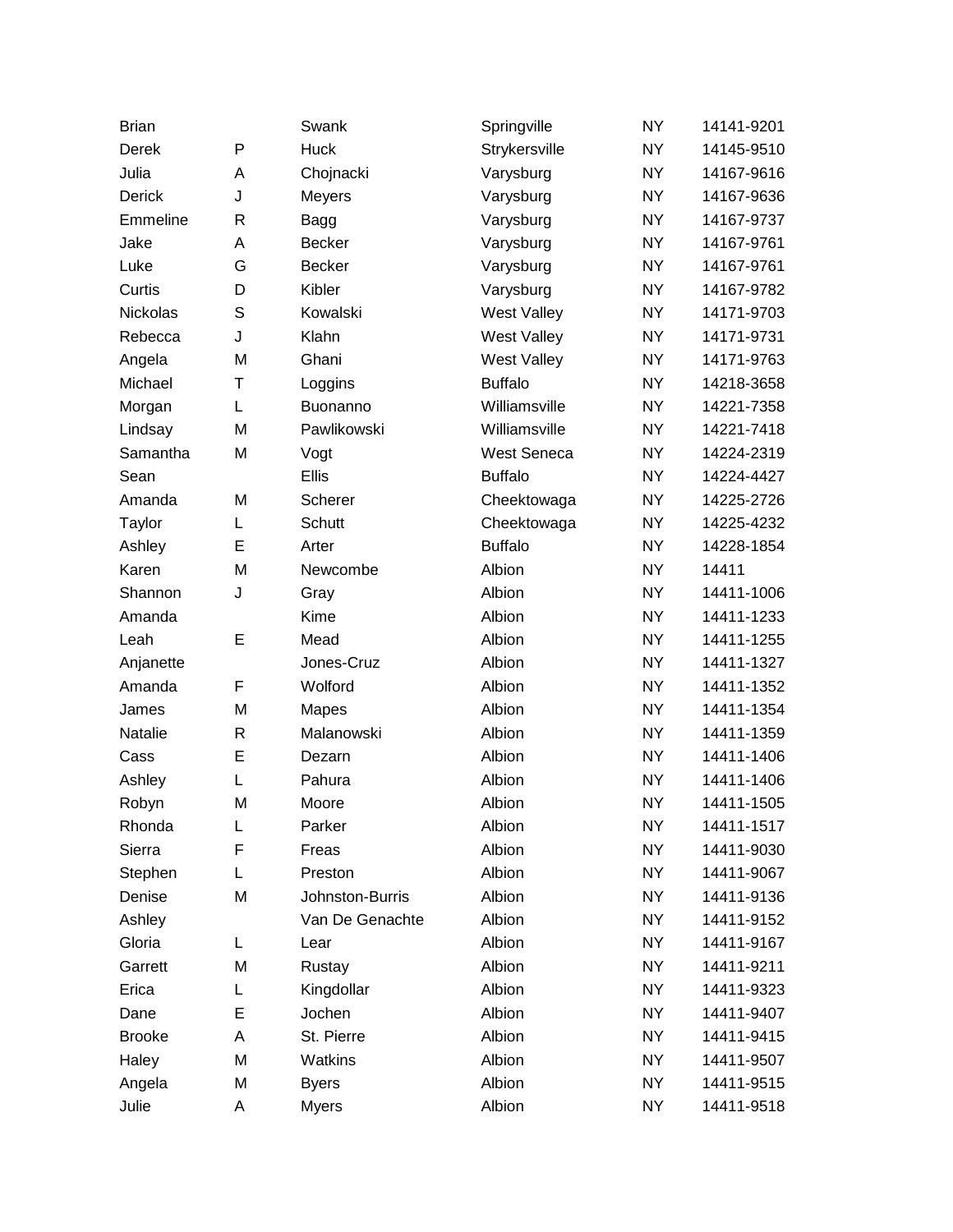| <b>Brian</b>    |              | Swank           | Springville        | <b>NY</b> | 14141-9201 |
|-----------------|--------------|-----------------|--------------------|-----------|------------|
| Derek           | P            | <b>Huck</b>     | Strykersville      | <b>NY</b> | 14145-9510 |
| Julia           | A            | Chojnacki       | Varysburg          | <b>NY</b> | 14167-9616 |
| <b>Derick</b>   | J            | <b>Meyers</b>   | Varysburg          | <b>NY</b> | 14167-9636 |
| Emmeline        | R            | Bagg            | Varysburg          | <b>NY</b> | 14167-9737 |
| Jake            | A            | <b>Becker</b>   | Varysburg          | <b>NY</b> | 14167-9761 |
| Luke            | G            | <b>Becker</b>   | Varysburg          | <b>NY</b> | 14167-9761 |
| Curtis          | D            | Kibler          | Varysburg          | <b>NY</b> | 14167-9782 |
| <b>Nickolas</b> | S            | Kowalski        | <b>West Valley</b> | <b>NY</b> | 14171-9703 |
| Rebecca         | J            | Klahn           | West Valley        | <b>NY</b> | 14171-9731 |
| Angela          | M            | Ghani           | <b>West Valley</b> | <b>NY</b> | 14171-9763 |
| Michael         | T            | Loggins         | <b>Buffalo</b>     | <b>NY</b> | 14218-3658 |
| Morgan          | L            | Buonanno        | Williamsville      | <b>NY</b> | 14221-7358 |
| Lindsay         | M            | Pawlikowski     | Williamsville      | <b>NY</b> | 14221-7418 |
| Samantha        | M            | Vogt            | <b>West Seneca</b> | <b>NY</b> | 14224-2319 |
| Sean            |              | Ellis           | <b>Buffalo</b>     | <b>NY</b> | 14224-4427 |
| Amanda          | M            | Scherer         | Cheektowaga        | <b>NY</b> | 14225-2726 |
| Taylor          | L            | <b>Schutt</b>   | Cheektowaga        | <b>NY</b> | 14225-4232 |
| Ashley          | E            | Arter           | <b>Buffalo</b>     | <b>NY</b> | 14228-1854 |
| Karen           | M            | Newcombe        | Albion             | <b>NY</b> | 14411      |
| Shannon         | J            | Gray            | Albion             | <b>NY</b> | 14411-1006 |
| Amanda          |              | Kime            | Albion             | <b>NY</b> | 14411-1233 |
| Leah            | E            | Mead            | Albion             | <b>NY</b> | 14411-1255 |
| Anjanette       |              | Jones-Cruz      | Albion             | <b>NY</b> | 14411-1327 |
| Amanda          | F            | Wolford         | Albion             | <b>NY</b> | 14411-1352 |
| James           | M            | Mapes           | Albion             | <b>NY</b> | 14411-1354 |
| Natalie         | $\mathsf{R}$ | Malanowski      | Albion             | <b>NY</b> | 14411-1359 |
| Cass            | E            | Dezarn          | Albion             | <b>NY</b> | 14411-1406 |
| Ashley          | L            | Pahura          | Albion             | <b>NY</b> | 14411-1406 |
| Robyn           | M            | Moore           | Albion             | <b>NY</b> | 14411-1505 |
| Rhonda          | L            | Parker          | Albion             | <b>NY</b> | 14411-1517 |
| Sierra          | F            | Freas           | Albion             | <b>NY</b> | 14411-9030 |
| Stephen         | L            | Preston         | Albion             | <b>NY</b> | 14411-9067 |
| Denise          | M            | Johnston-Burris | Albion             | <b>NY</b> | 14411-9136 |
| Ashley          |              | Van De Genachte | Albion             | <b>NY</b> | 14411-9152 |
| Gloria          | L            | Lear            | Albion             | <b>NY</b> | 14411-9167 |
| Garrett         | M            | Rustay          | Albion             | <b>NY</b> | 14411-9211 |
| Erica           | L            | Kingdollar      | Albion             | <b>NY</b> | 14411-9323 |
| Dane            | E            | Jochen          | Albion             | <b>NY</b> | 14411-9407 |
| <b>Brooke</b>   | A            | St. Pierre      | Albion             | <b>NY</b> | 14411-9415 |
| Haley           | M            | Watkins         | Albion             | <b>NY</b> | 14411-9507 |
| Angela          | M            | <b>Byers</b>    | Albion             | <b>NY</b> | 14411-9515 |
| Julie           | Α            | <b>Myers</b>    | Albion             | <b>NY</b> | 14411-9518 |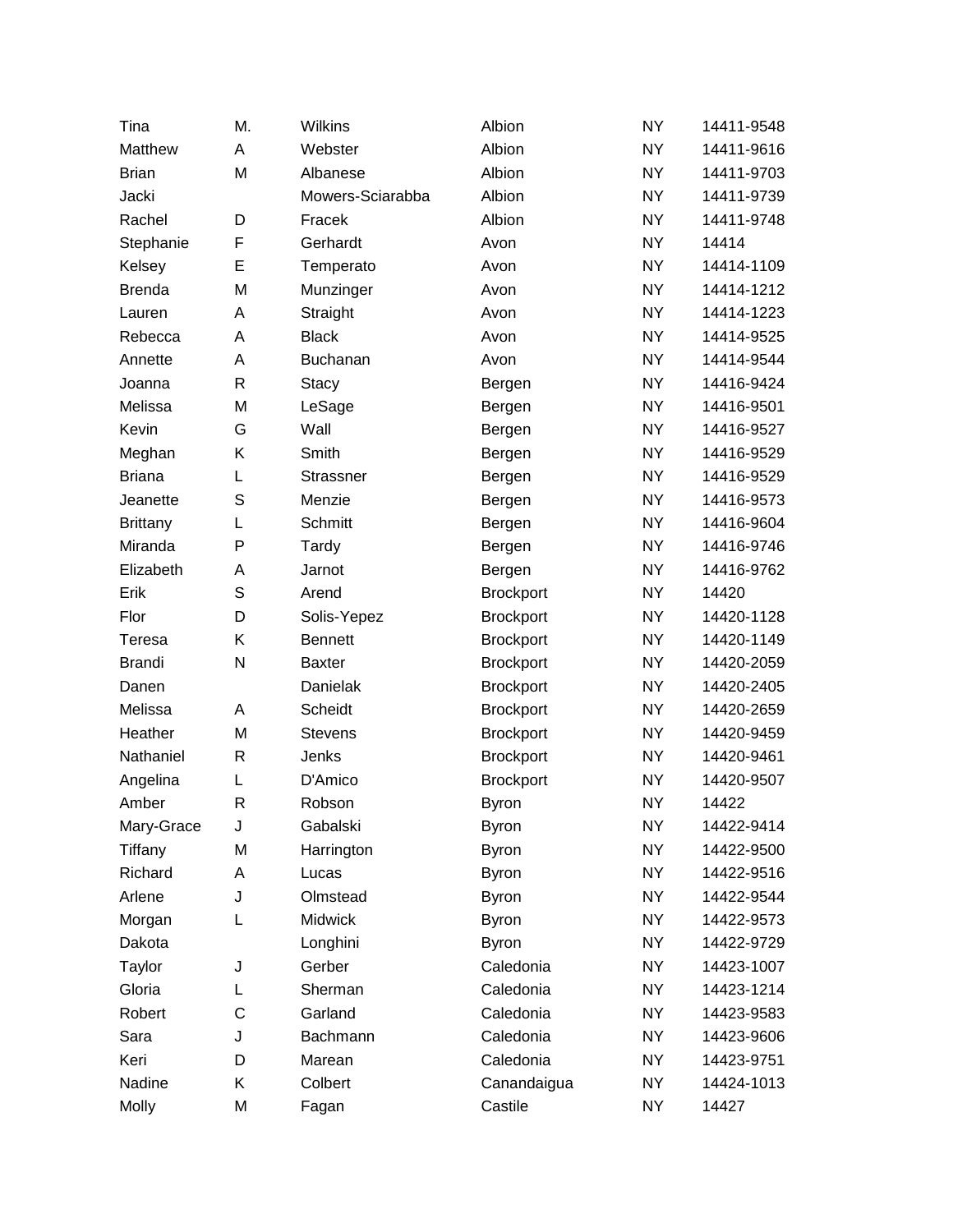| Tina            | M. | Wilkins          | Albion           | <b>NY</b> | 14411-9548 |
|-----------------|----|------------------|------------------|-----------|------------|
| Matthew         | Α  | Webster          | Albion           | <b>NY</b> | 14411-9616 |
| <b>Brian</b>    | M  | Albanese         | Albion           | <b>NY</b> | 14411-9703 |
| Jacki           |    | Mowers-Sciarabba | Albion           | <b>NY</b> | 14411-9739 |
| Rachel          | D  | Fracek           | Albion           | <b>NY</b> | 14411-9748 |
| Stephanie       | F  | Gerhardt         | Avon             | <b>NY</b> | 14414      |
| Kelsey          | E  | Temperato        | Avon             | <b>NY</b> | 14414-1109 |
| <b>Brenda</b>   | M  | Munzinger        | Avon             | <b>NY</b> | 14414-1212 |
| Lauren          | Α  | Straight         | Avon             | <b>NY</b> | 14414-1223 |
| Rebecca         | Α  | <b>Black</b>     | Avon             | <b>NY</b> | 14414-9525 |
| Annette         | Α  | <b>Buchanan</b>  | Avon             | <b>NY</b> | 14414-9544 |
| Joanna          | R  | <b>Stacy</b>     | Bergen           | <b>NY</b> | 14416-9424 |
| Melissa         | M  | LeSage           | Bergen           | <b>NY</b> | 14416-9501 |
| Kevin           | G  | Wall             | Bergen           | <b>NY</b> | 14416-9527 |
| Meghan          | Κ  | Smith            | Bergen           | <b>NY</b> | 14416-9529 |
| <b>Briana</b>   | L  | Strassner        | Bergen           | <b>NY</b> | 14416-9529 |
| Jeanette        | S  | Menzie           | Bergen           | <b>NY</b> | 14416-9573 |
| <b>Brittany</b> | L  | Schmitt          | Bergen           | <b>NY</b> | 14416-9604 |
| Miranda         | P  | Tardy            | Bergen           | <b>NY</b> | 14416-9746 |
| Elizabeth       | А  | Jarnot           | Bergen           | <b>NY</b> | 14416-9762 |
| Erik            | S  | Arend            | <b>Brockport</b> | <b>NY</b> | 14420      |
| Flor            | D  | Solis-Yepez      | <b>Brockport</b> | <b>NY</b> | 14420-1128 |
| Teresa          | Κ  | <b>Bennett</b>   | <b>Brockport</b> | <b>NY</b> | 14420-1149 |
| <b>Brandi</b>   | N  | <b>Baxter</b>    | <b>Brockport</b> | <b>NY</b> | 14420-2059 |
| Danen           |    | Danielak         | <b>Brockport</b> | <b>NY</b> | 14420-2405 |
| Melissa         | A  | Scheidt          | <b>Brockport</b> | <b>NY</b> | 14420-2659 |
| Heather         | M  | <b>Stevens</b>   | <b>Brockport</b> | <b>NY</b> | 14420-9459 |
| Nathaniel       | R  | Jenks            | <b>Brockport</b> | <b>NY</b> | 14420-9461 |
| Angelina        | L  | D'Amico          | <b>Brockport</b> | <b>NY</b> | 14420-9507 |
| Amber           | R  | Robson           | <b>Byron</b>     | <b>NY</b> | 14422      |
| Mary-Grace      | J  | Gabalski         | <b>Byron</b>     | <b>NY</b> | 14422-9414 |
| Tiffany         | M  | Harrington       | <b>Byron</b>     | <b>NY</b> | 14422-9500 |
| Richard         | А  | Lucas            | <b>Byron</b>     | <b>NY</b> | 14422-9516 |
| Arlene          | J  | Olmstead         | <b>Byron</b>     | <b>NY</b> | 14422-9544 |
| Morgan          | L  | <b>Midwick</b>   | <b>Byron</b>     | <b>NY</b> | 14422-9573 |
| Dakota          |    | Longhini         | <b>Byron</b>     | <b>NY</b> | 14422-9729 |
| Taylor          | J  | Gerber           | Caledonia        | <b>NY</b> | 14423-1007 |
| Gloria          | L  | Sherman          | Caledonia        | <b>NY</b> | 14423-1214 |
| Robert          | C  | Garland          | Caledonia        | <b>NY</b> | 14423-9583 |
| Sara            | J  | Bachmann         | Caledonia        | <b>NY</b> | 14423-9606 |
| Keri            | D  | Marean           | Caledonia        | <b>NY</b> | 14423-9751 |
| Nadine          | Κ  | Colbert          | Canandaigua      | <b>NY</b> | 14424-1013 |
| Molly           | М  | Fagan            | Castile          | <b>NY</b> | 14427      |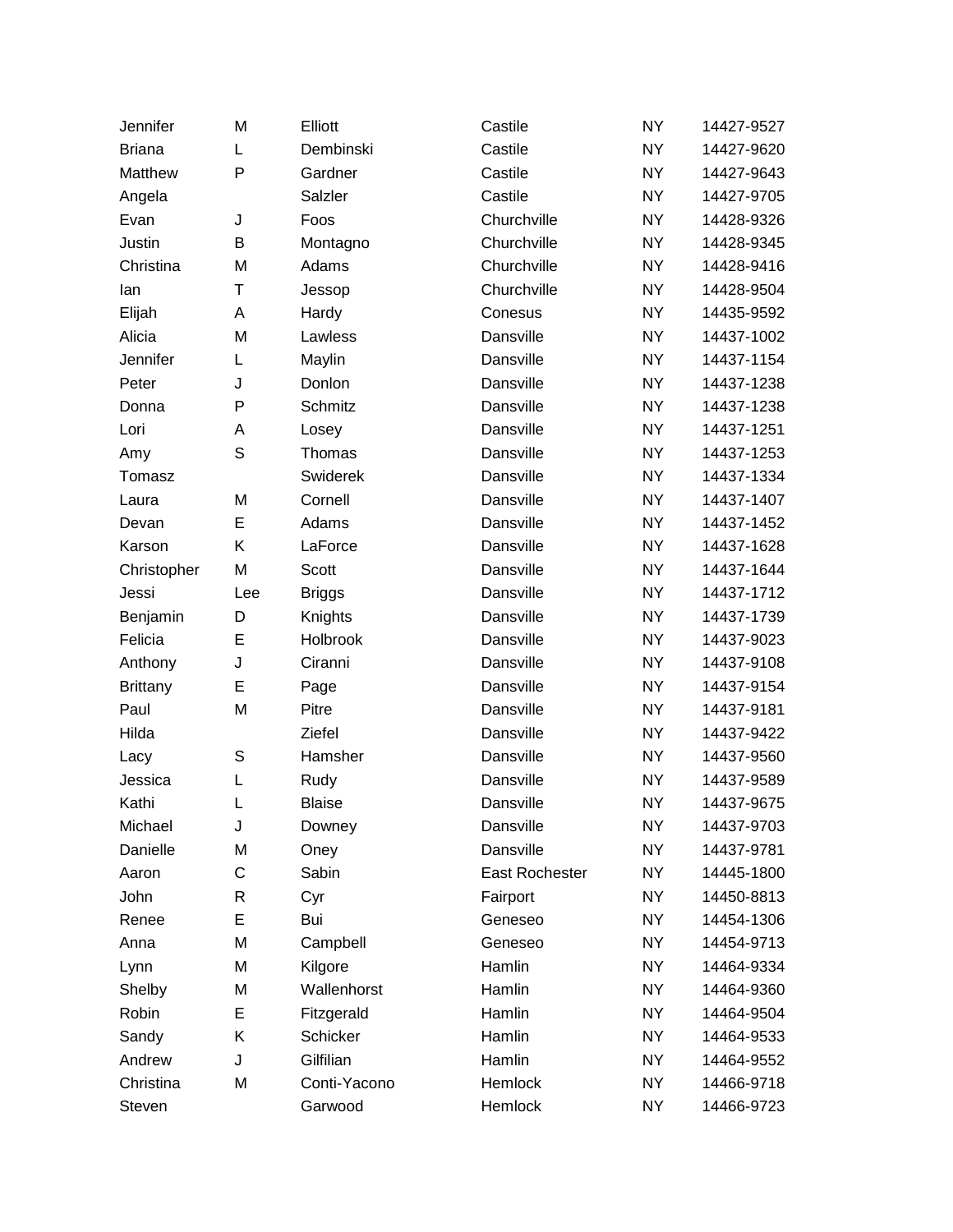| Jennifer        | M            | Elliott       | Castile        | <b>NY</b> | 14427-9527 |
|-----------------|--------------|---------------|----------------|-----------|------------|
| <b>Briana</b>   | L            | Dembinski     | Castile        | <b>NY</b> | 14427-9620 |
| Matthew         | P            | Gardner       | Castile        | <b>NY</b> | 14427-9643 |
| Angela          |              | Salzler       | Castile        | <b>NY</b> | 14427-9705 |
| Evan            | J            | Foos          | Churchville    | <b>NY</b> | 14428-9326 |
| Justin          | В            | Montagno      | Churchville    | <b>NY</b> | 14428-9345 |
| Christina       | M            | Adams         | Churchville    | <b>NY</b> | 14428-9416 |
| lan             | Τ            | Jessop        | Churchville    | <b>NY</b> | 14428-9504 |
| Elijah          | A            | Hardy         | Conesus        | <b>NY</b> | 14435-9592 |
| Alicia          | M            | Lawless       | Dansville      | <b>NY</b> | 14437-1002 |
| Jennifer        | Г            | Maylin        | Dansville      | <b>NY</b> | 14437-1154 |
| Peter           | J            | Donlon        | Dansville      | <b>NY</b> | 14437-1238 |
| Donna           | P            | Schmitz       | Dansville      | <b>NY</b> | 14437-1238 |
| Lori            | A            | Losey         | Dansville      | <b>NY</b> | 14437-1251 |
| Amy             | S            | Thomas        | Dansville      | <b>NY</b> | 14437-1253 |
| Tomasz          |              | Swiderek      | Dansville      | <b>NY</b> | 14437-1334 |
| Laura           | M            | Cornell       | Dansville      | <b>NY</b> | 14437-1407 |
| Devan           | E            | Adams         | Dansville      | <b>NY</b> | 14437-1452 |
| Karson          | Κ            | LaForce       | Dansville      | <b>NY</b> | 14437-1628 |
| Christopher     | M            | Scott         | Dansville      | <b>NY</b> | 14437-1644 |
| Jessi           | Lee          | <b>Briggs</b> | Dansville      | <b>NY</b> | 14437-1712 |
| Benjamin        | D            | Knights       | Dansville      | <b>NY</b> | 14437-1739 |
| Felicia         | E            | Holbrook      | Dansville      | <b>NY</b> | 14437-9023 |
| Anthony         | J            | Ciranni       | Dansville      | <b>NY</b> | 14437-9108 |
| <b>Brittany</b> | E            | Page          | Dansville      | <b>NY</b> | 14437-9154 |
| Paul            | M            | Pitre         | Dansville      | <b>NY</b> | 14437-9181 |
| Hilda           |              | Ziefel        | Dansville      | <b>NY</b> | 14437-9422 |
| Lacy            | S            | Hamsher       | Dansville      | <b>NY</b> | 14437-9560 |
| Jessica         | L            | Rudy          | Dansville      | <b>NY</b> | 14437-9589 |
| Kathi           | L            | <b>Blaise</b> | Dansville      | <b>NY</b> | 14437-9675 |
| Michael         | J            | Downey        | Dansville      | <b>NY</b> | 14437-9703 |
| Danielle        | M            | Oney          | Dansville      | <b>NY</b> | 14437-9781 |
| Aaron           | C            | Sabin         | East Rochester | <b>NY</b> | 14445-1800 |
| John            | $\mathsf{R}$ | Cyr           | Fairport       | <b>NY</b> | 14450-8813 |
| Renee           | E            | Bui           | Geneseo        | <b>NY</b> | 14454-1306 |
| Anna            | M            | Campbell      | Geneseo        | <b>NY</b> | 14454-9713 |
| Lynn            | M            | Kilgore       | Hamlin         | <b>NY</b> | 14464-9334 |
| Shelby          | M            | Wallenhorst   | Hamlin         | <b>NY</b> | 14464-9360 |
| Robin           | E            | Fitzgerald    | Hamlin         | <b>NY</b> | 14464-9504 |
| Sandy           | Κ            | Schicker      | Hamlin         | <b>NY</b> | 14464-9533 |
| Andrew          | J            | Gilfilian     | Hamlin         | <b>NY</b> | 14464-9552 |
| Christina       | M            | Conti-Yacono  | Hemlock        | <b>NY</b> | 14466-9718 |
| Steven          |              | Garwood       | Hemlock        | <b>NY</b> | 14466-9723 |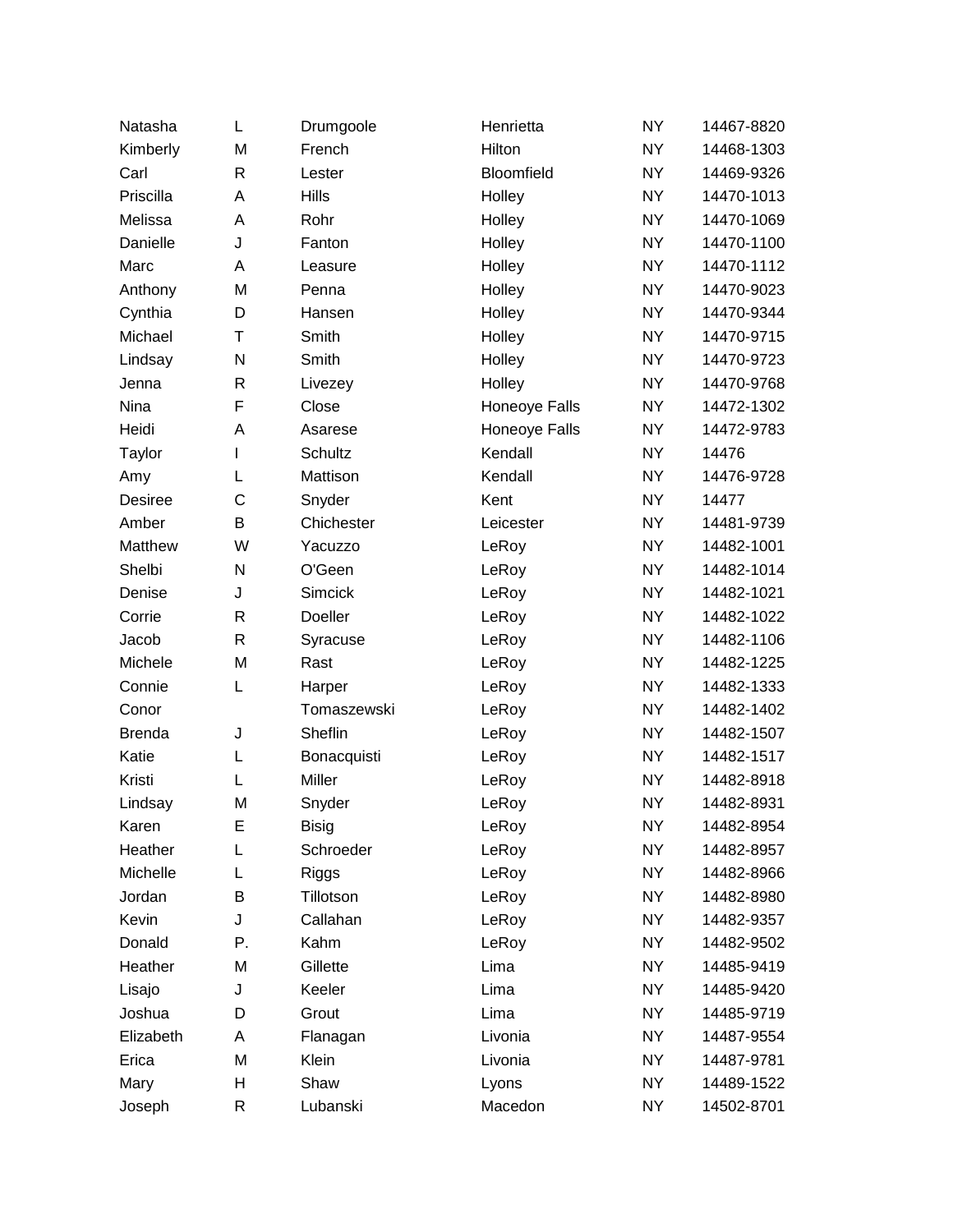| Natasha       | Г            | Drumgoole    | Henrietta         | <b>NY</b> | 14467-8820 |
|---------------|--------------|--------------|-------------------|-----------|------------|
| Kimberly      | M            | French       | Hilton            | <b>NY</b> | 14468-1303 |
| Carl          | R            | Lester       | <b>Bloomfield</b> | <b>NY</b> | 14469-9326 |
| Priscilla     | A            | <b>Hills</b> | Holley            | <b>NY</b> | 14470-1013 |
| Melissa       | Α            | Rohr         | Holley            | <b>NY</b> | 14470-1069 |
| Danielle      | J            | Fanton       | Holley            | <b>NY</b> | 14470-1100 |
| Marc          | Α            | Leasure      | Holley            | <b>NY</b> | 14470-1112 |
| Anthony       | M            | Penna        | Holley            | <b>NY</b> | 14470-9023 |
| Cynthia       | D            | Hansen       | Holley            | <b>NY</b> | 14470-9344 |
| Michael       | Τ            | Smith        | Holley            | <b>NY</b> | 14470-9715 |
| Lindsay       | N            | Smith        | Holley            | <b>NY</b> | 14470-9723 |
| Jenna         | $\mathsf{R}$ | Livezey      | Holley            | <b>NY</b> | 14470-9768 |
| Nina          | F            | Close        | Honeoye Falls     | <b>NY</b> | 14472-1302 |
| Heidi         | Α            | Asarese      | Honeoye Falls     | <b>NY</b> | 14472-9783 |
| Taylor        | L            | Schultz      | Kendall           | <b>NY</b> | 14476      |
| Amy           | L            | Mattison     | Kendall           | <b>NY</b> | 14476-9728 |
| Desiree       | $\mathsf{C}$ | Snyder       | Kent              | <b>NY</b> | 14477      |
| Amber         | B            | Chichester   | Leicester         | <b>NY</b> | 14481-9739 |
| Matthew       | W            | Yacuzzo      | LeRoy             | <b>NY</b> | 14482-1001 |
| Shelbi        | N            | O'Geen       | LeRoy             | <b>NY</b> | 14482-1014 |
| Denise        | J            | Simcick      | LeRoy             | <b>NY</b> | 14482-1021 |
| Corrie        | $\mathsf{R}$ | Doeller      | LeRoy             | <b>NY</b> | 14482-1022 |
| Jacob         | $\mathsf{R}$ | Syracuse     | LeRoy             | <b>NY</b> | 14482-1106 |
| Michele       | M            | Rast         | LeRoy             | <b>NY</b> | 14482-1225 |
| Connie        | Г            | Harper       | LeRoy             | <b>NY</b> | 14482-1333 |
| Conor         |              | Tomaszewski  | LeRoy             | <b>NY</b> | 14482-1402 |
| <b>Brenda</b> | J            | Sheflin      | LeRoy             | <b>NY</b> | 14482-1507 |
| Katie         | L            | Bonacquisti  | LeRoy             | <b>NY</b> | 14482-1517 |
| Kristi        | L            | Miller       | LeRoy             | <b>NY</b> | 14482-8918 |
| Lindsay       | M            | Snyder       | LeRoy             | <b>NY</b> | 14482-8931 |
| Karen         | E            | <b>Bisig</b> | LeRoy             | <b>NY</b> | 14482-8954 |
| Heather       | L            | Schroeder    | LeRoy             | <b>NY</b> | 14482-8957 |
| Michelle      | L            | <b>Riggs</b> | LeRoy             | <b>NY</b> | 14482-8966 |
| Jordan        | В            | Tillotson    | LeRoy             | <b>NY</b> | 14482-8980 |
| Kevin         | J            | Callahan     | LeRoy             | NY.       | 14482-9357 |
| Donald        | Ρ.           | Kahm         | LeRoy             | <b>NY</b> | 14482-9502 |
| Heather       | M            | Gillette     | Lima              | <b>NY</b> | 14485-9419 |
| Lisajo        | J            | Keeler       | Lima              | <b>NY</b> | 14485-9420 |
| Joshua        | D            | Grout        | Lima              | <b>NY</b> | 14485-9719 |
| Elizabeth     | Α            | Flanagan     | Livonia           | <b>NY</b> | 14487-9554 |
| Erica         | M            | Klein        | Livonia           | <b>NY</b> | 14487-9781 |
| Mary          | Н            | Shaw         | Lyons             | <b>NY</b> | 14489-1522 |
| Joseph        | R            | Lubanski     | Macedon           | NY        | 14502-8701 |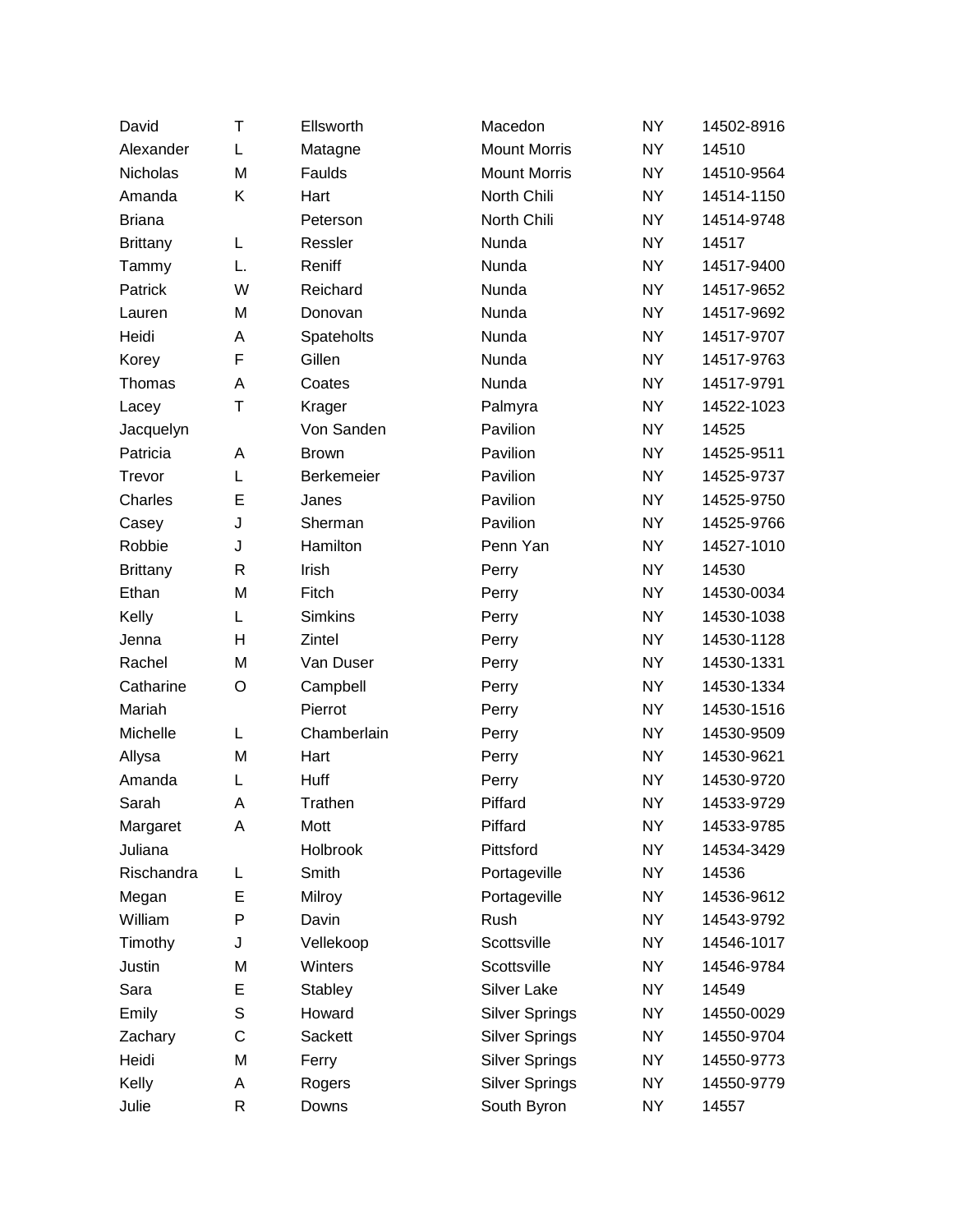| David           | т  | Ellsworth      | Macedon               | <b>NY</b> | 14502-8916 |
|-----------------|----|----------------|-----------------------|-----------|------------|
| Alexander       | L  | Matagne        | <b>Mount Morris</b>   | <b>NY</b> | 14510      |
| Nicholas        | M  | Faulds         | <b>Mount Morris</b>   | <b>NY</b> | 14510-9564 |
| Amanda          | Κ  | Hart           | North Chili           | <b>NY</b> | 14514-1150 |
| <b>Briana</b>   |    | Peterson       | North Chili           | <b>NY</b> | 14514-9748 |
| <b>Brittany</b> | Г  | Ressler        | Nunda                 | <b>NY</b> | 14517      |
| Tammy           | L. | Reniff         | Nunda                 | <b>NY</b> | 14517-9400 |
| Patrick         | W  | Reichard       | Nunda                 | <b>NY</b> | 14517-9652 |
| Lauren          | M  | Donovan        | Nunda                 | <b>NY</b> | 14517-9692 |
| Heidi           | Α  | Spateholts     | Nunda                 | <b>NY</b> | 14517-9707 |
| Korey           | F  | Gillen         | Nunda                 | <b>NY</b> | 14517-9763 |
| Thomas          | A  | Coates         | Nunda                 | <b>NY</b> | 14517-9791 |
| Lacey           | Τ  | Krager         | Palmyra               | <b>NY</b> | 14522-1023 |
| Jacquelyn       |    | Von Sanden     | Pavilion              | <b>NY</b> | 14525      |
| Patricia        | Α  | <b>Brown</b>   | Pavilion              | <b>NY</b> | 14525-9511 |
| Trevor          | L  | Berkemeier     | Pavilion              | <b>NY</b> | 14525-9737 |
| Charles         | E  | Janes          | Pavilion              | <b>NY</b> | 14525-9750 |
| Casey           | J  | Sherman        | Pavilion              | <b>NY</b> | 14525-9766 |
| Robbie          | J  | Hamilton       | Penn Yan              | <b>NY</b> | 14527-1010 |
| <b>Brittany</b> | R  | Irish          | Perry                 | <b>NY</b> | 14530      |
| Ethan           | M  | Fitch          | Perry                 | <b>NY</b> | 14530-0034 |
| Kelly           | L  | <b>Simkins</b> | Perry                 | <b>NY</b> | 14530-1038 |
| Jenna           | H  | Zintel         | Perry                 | <b>NY</b> | 14530-1128 |
| Rachel          | M  | Van Duser      | Perry                 | <b>NY</b> | 14530-1331 |
| Catharine       | O  | Campbell       | Perry                 | <b>NY</b> | 14530-1334 |
| Mariah          |    | Pierrot        | Perry                 | <b>NY</b> | 14530-1516 |
| Michelle        | L  | Chamberlain    | Perry                 | <b>NY</b> | 14530-9509 |
| Allysa          | M  | Hart           | Perry                 | <b>NY</b> | 14530-9621 |
| Amanda          | L  | Huff           | Perry                 | <b>NY</b> | 14530-9720 |
| Sarah           | А  | Trathen        | Piffard               | <b>NY</b> | 14533-9729 |
| Margaret        | A  | Mott           | Piffard               | <b>NY</b> | 14533-9785 |
| Juliana         |    | Holbrook       | Pittsford             | <b>NY</b> | 14534-3429 |
| Rischandra      | L  | Smith          | Portageville          | <b>NY</b> | 14536      |
| Megan           | E  | Milroy         | Portageville          | <b>NY</b> | 14536-9612 |
| William         | P  | Davin          | Rush                  | <b>NY</b> | 14543-9792 |
| Timothy         | J  | Vellekoop      | Scottsville           | <b>NY</b> | 14546-1017 |
| Justin          | M  | Winters        | Scottsville           | <b>NY</b> | 14546-9784 |
| Sara            | E  | Stabley        | Silver Lake           | <b>NY</b> | 14549      |
| Emily           | S  | Howard         | <b>Silver Springs</b> | <b>NY</b> | 14550-0029 |
| Zachary         | C  | Sackett        | <b>Silver Springs</b> | <b>NY</b> | 14550-9704 |
| Heidi           | M  | Ferry          | <b>Silver Springs</b> | <b>NY</b> | 14550-9773 |
| Kelly           | А  | Rogers         | <b>Silver Springs</b> | <b>NY</b> | 14550-9779 |
| Julie           | R  | Downs          | South Byron           | <b>NY</b> | 14557      |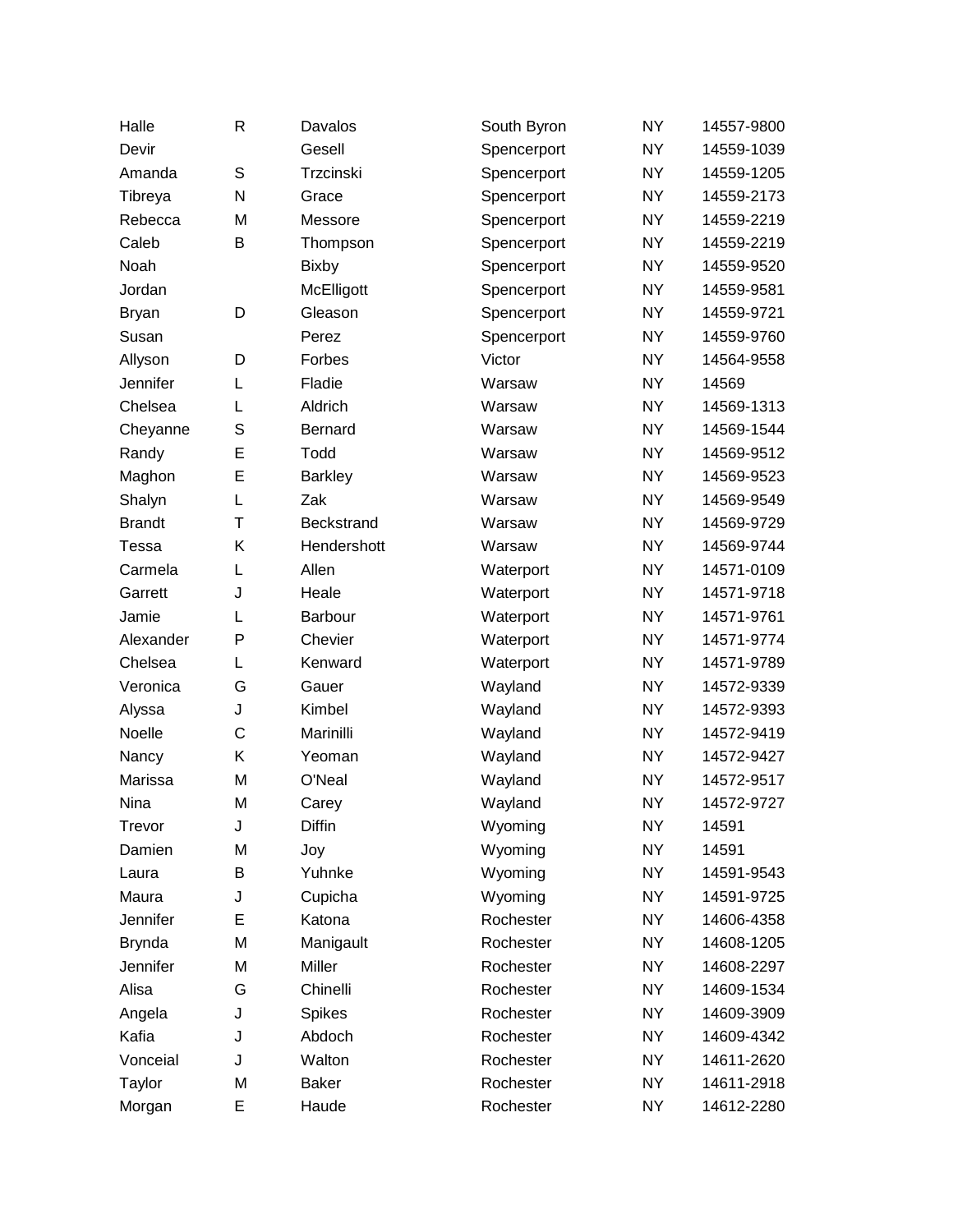| Halle         | R           | Davalos        | South Byron | <b>NY</b> | 14557-9800 |
|---------------|-------------|----------------|-------------|-----------|------------|
| Devir         |             | Gesell         | Spencerport | <b>NY</b> | 14559-1039 |
| Amanda        | $\mathbb S$ | Trzcinski      | Spencerport | <b>NY</b> | 14559-1205 |
| Tibreya       | N           | Grace          | Spencerport | <b>NY</b> | 14559-2173 |
| Rebecca       | M           | Messore        | Spencerport | <b>NY</b> | 14559-2219 |
| Caleb         | B           | Thompson       | Spencerport | <b>NY</b> | 14559-2219 |
| Noah          |             | <b>Bixby</b>   | Spencerport | <b>NY</b> | 14559-9520 |
| Jordan        |             | McElligott     | Spencerport | <b>NY</b> | 14559-9581 |
| <b>Bryan</b>  | D           | Gleason        | Spencerport | <b>NY</b> | 14559-9721 |
| Susan         |             | Perez          | Spencerport | <b>NY</b> | 14559-9760 |
| Allyson       | D           | Forbes         | Victor      | <b>NY</b> | 14564-9558 |
| Jennifer      | L           | Fladie         | Warsaw      | <b>NY</b> | 14569      |
| Chelsea       | L           | Aldrich        | Warsaw      | <b>NY</b> | 14569-1313 |
| Cheyanne      | S           | Bernard        | Warsaw      | <b>NY</b> | 14569-1544 |
| Randy         | E           | Todd           | Warsaw      | <b>NY</b> | 14569-9512 |
| Maghon        | E           | <b>Barkley</b> | Warsaw      | <b>NY</b> | 14569-9523 |
| Shalyn        | L           | Zak            | Warsaw      | <b>NY</b> | 14569-9549 |
| <b>Brandt</b> | T           | Beckstrand     | Warsaw      | <b>NY</b> | 14569-9729 |
| Tessa         | Κ           | Hendershott    | Warsaw      | <b>NY</b> | 14569-9744 |
| Carmela       | L           | Allen          | Waterport   | <b>NY</b> | 14571-0109 |
| Garrett       | J           | Heale          | Waterport   | <b>NY</b> | 14571-9718 |
| Jamie         | L           | Barbour        | Waterport   | <b>NY</b> | 14571-9761 |
| Alexander     | P           | Chevier        | Waterport   | <b>NY</b> | 14571-9774 |
| Chelsea       | L           | Kenward        | Waterport   | <b>NY</b> | 14571-9789 |
| Veronica      | G           | Gauer          | Wayland     | <b>NY</b> | 14572-9339 |
| Alyssa        | J           | Kimbel         | Wayland     | <b>NY</b> | 14572-9393 |
| Noelle        | C           | Marinilli      | Wayland     | <b>NY</b> | 14572-9419 |
| Nancy         | Κ           | Yeoman         | Wayland     | <b>NY</b> | 14572-9427 |
| Marissa       | M           | O'Neal         | Wayland     | <b>NY</b> | 14572-9517 |
| Nina          | M           | Carey          | Wayland     | <b>NY</b> | 14572-9727 |
| Trevor        | J           | <b>Diffin</b>  | Wyoming     | <b>NY</b> | 14591      |
| Damien        | M           | Joy            | Wyoming     | <b>NY</b> | 14591      |
| Laura         | В           | Yuhnke         | Wyoming     | <b>NY</b> | 14591-9543 |
| Maura         | J           | Cupicha        | Wyoming     | <b>NY</b> | 14591-9725 |
| Jennifer      | E           | Katona         | Rochester   | <b>NY</b> | 14606-4358 |
| <b>Brynda</b> | M           | Manigault      | Rochester   | <b>NY</b> | 14608-1205 |
| Jennifer      | M           | Miller         | Rochester   | <b>NY</b> | 14608-2297 |
| Alisa         | G           | Chinelli       | Rochester   | <b>NY</b> | 14609-1534 |
| Angela        | J           | Spikes         | Rochester   | <b>NY</b> | 14609-3909 |
| Kafia         | J           | Abdoch         | Rochester   | <b>NY</b> | 14609-4342 |
| Vonceial      | J           | Walton         | Rochester   | <b>NY</b> | 14611-2620 |
| Taylor        | M           | <b>Baker</b>   | Rochester   | <b>NY</b> | 14611-2918 |
| Morgan        | E           | Haude          | Rochester   | <b>NY</b> | 14612-2280 |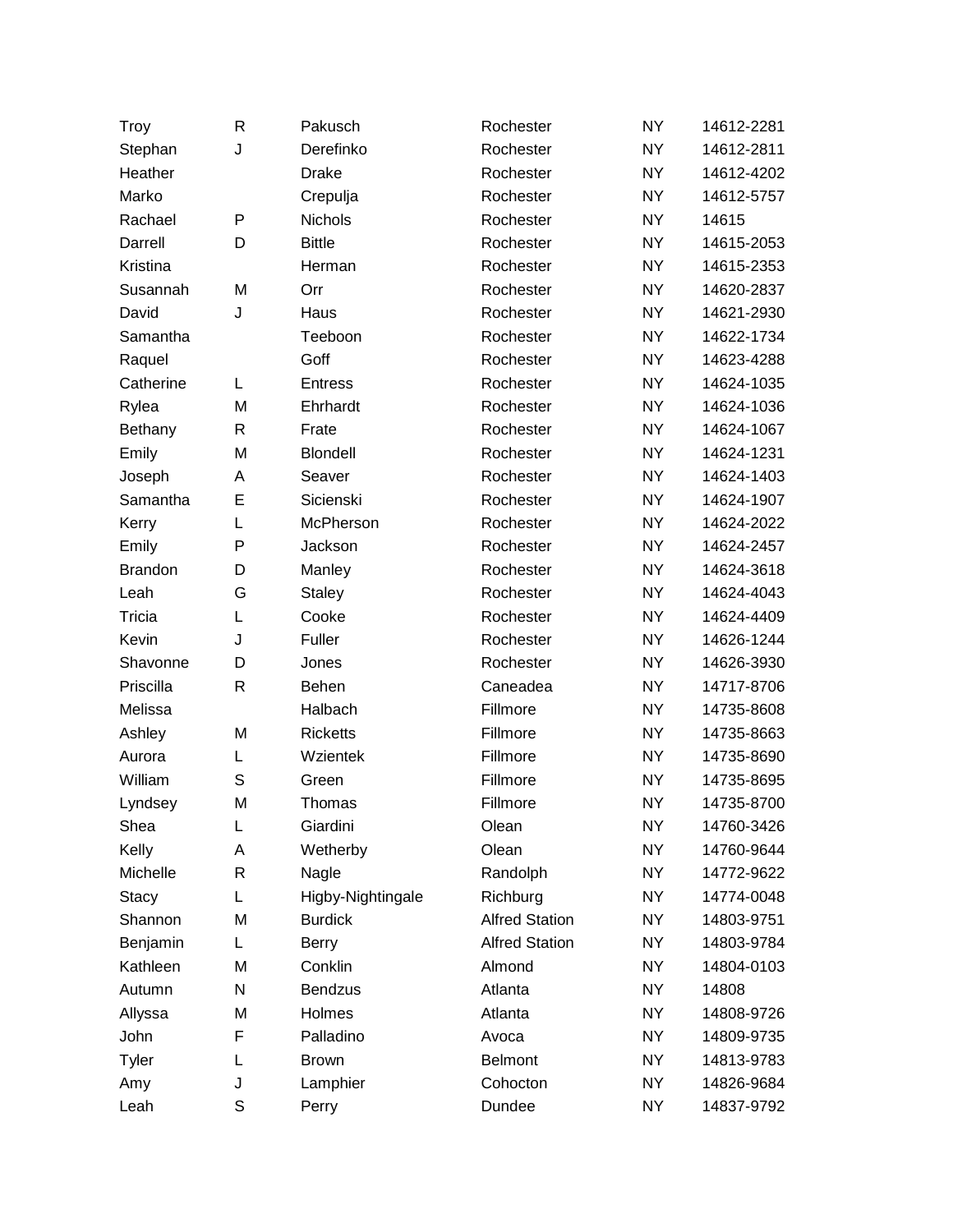| Troy           | R            | Pakusch           | Rochester             | <b>NY</b> | 14612-2281 |
|----------------|--------------|-------------------|-----------------------|-----------|------------|
| Stephan        | J            | Derefinko         | Rochester             | <b>NY</b> | 14612-2811 |
| Heather        |              | <b>Drake</b>      | Rochester             | <b>NY</b> | 14612-4202 |
| Marko          |              | Crepulja          | Rochester             | <b>NY</b> | 14612-5757 |
| Rachael        | P            | <b>Nichols</b>    | Rochester             | <b>NY</b> | 14615      |
| Darrell        | D            | <b>Bittle</b>     | Rochester             | <b>NY</b> | 14615-2053 |
| Kristina       |              | Herman            | Rochester             | <b>NY</b> | 14615-2353 |
| Susannah       | M            | Orr               | Rochester             | <b>NY</b> | 14620-2837 |
| David          | J            | Haus              | Rochester             | <b>NY</b> | 14621-2930 |
| Samantha       |              | Teeboon           | Rochester             | <b>NY</b> | 14622-1734 |
| Raquel         |              | Goff              | Rochester             | <b>NY</b> | 14623-4288 |
| Catherine      | L            | <b>Entress</b>    | Rochester             | <b>NY</b> | 14624-1035 |
| Rylea          | M            | Ehrhardt          | Rochester             | <b>NY</b> | 14624-1036 |
| Bethany        | $\mathsf{R}$ | Frate             | Rochester             | <b>NY</b> | 14624-1067 |
| Emily          | M            | Blondell          | Rochester             | <b>NY</b> | 14624-1231 |
| Joseph         | A            | Seaver            | Rochester             | <b>NY</b> | 14624-1403 |
| Samantha       | Е            | Sicienski         | Rochester             | <b>NY</b> | 14624-1907 |
| Kerry          | L            | McPherson         | Rochester             | <b>NY</b> | 14624-2022 |
| Emily          | P            | Jackson           | Rochester             | <b>NY</b> | 14624-2457 |
| <b>Brandon</b> | D            | Manley            | Rochester             | <b>NY</b> | 14624-3618 |
| Leah           | G            | Staley            | Rochester             | <b>NY</b> | 14624-4043 |
| Tricia         | L            | Cooke             | Rochester             | <b>NY</b> | 14624-4409 |
| Kevin          | J            | Fuller            | Rochester             | <b>NY</b> | 14626-1244 |
| Shavonne       | D            | Jones             | Rochester             | <b>NY</b> | 14626-3930 |
| Priscilla      | $\mathsf{R}$ | Behen             | Caneadea              | <b>NY</b> | 14717-8706 |
| Melissa        |              | Halbach           | Fillmore              | <b>NY</b> | 14735-8608 |
| Ashley         | M            | <b>Ricketts</b>   | Fillmore              | <b>NY</b> | 14735-8663 |
| Aurora         | L            | Wzientek          | Fillmore              | <b>NY</b> | 14735-8690 |
| William        | S            | Green             | Fillmore              | <b>NY</b> | 14735-8695 |
| Lyndsey        | M            | Thomas            | Fillmore              | <b>NY</b> | 14735-8700 |
| Shea           | L            | Giardini          | Olean                 | <b>NY</b> | 14760-3426 |
| Kelly          | Α            | Wetherby          | Olean                 | <b>NY</b> | 14760-9644 |
| Michelle       | R            | Nagle             | Randolph              | <b>NY</b> | 14772-9622 |
| <b>Stacy</b>   | L            | Higby-Nightingale | Richburg              | <b>NY</b> | 14774-0048 |
| Shannon        | M            | <b>Burdick</b>    | <b>Alfred Station</b> | NY.       | 14803-9751 |
| Benjamin       | L.           | <b>Berry</b>      | <b>Alfred Station</b> | <b>NY</b> | 14803-9784 |
| Kathleen       | M            | Conklin           | Almond                | NY.       | 14804-0103 |
| Autumn         | N            | <b>Bendzus</b>    | Atlanta               | <b>NY</b> | 14808      |
| Allyssa        | M            | Holmes            | Atlanta               | NY.       | 14808-9726 |
| John           | F            | Palladino         | Avoca                 | <b>NY</b> | 14809-9735 |
| Tyler          | L            | <b>Brown</b>      | <b>Belmont</b>        | NY        | 14813-9783 |
| Amy            | J            | Lamphier          | Cohocton              | <b>NY</b> | 14826-9684 |
| Leah           | S            | Perry             | Dundee                | NY        | 14837-9792 |